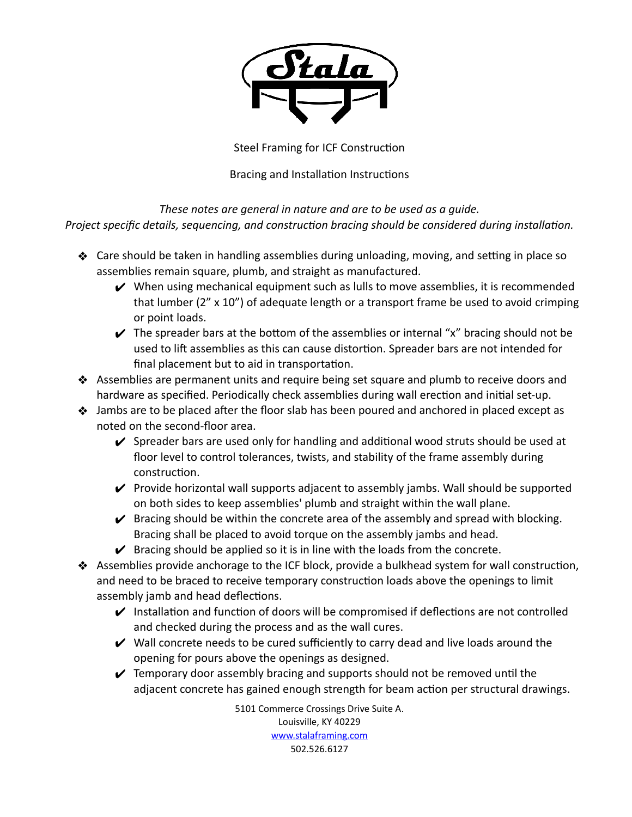

Steel Framing for ICF Construction

Bracing and Installation Instructions

*These notes are general in nature and are to be used as a guide. Project specific details, sequencing, and construction bracing should be considered during installation.* 

- $\clubsuit$  Care should be taken in handling assemblies during unloading, moving, and setting in place so assemblies remain square, plumb, and straight as manufactured.
	- $\vee$  When using mechanical equipment such as lulls to move assemblies, it is recommended that lumber ( $2''$  x 10") of adequate length or a transport frame be used to avoid crimping or point loads.
	- $\vee$  The spreader bars at the bottom of the assemblies or internal "x" bracing should not be used to lift assemblies as this can cause distortion. Spreader bars are not intended for final placement but to aid in transportation.
- ❖ Assemblies are permanent units and require being set square and plumb to receive doors and hardware as specified. Periodically check assemblies during wall erection and initial set-up.
- $\clubsuit$  Jambs are to be placed after the floor slab has been poured and anchored in placed except as noted on the second-floor area.
	- $\checkmark$  Spreader bars are used only for handling and additional wood struts should be used at floor level to control tolerances, twists, and stability of the frame assembly during construction.
	- $\vee$  Provide horizontal wall supports adjacent to assembly jambs. Wall should be supported on both sides to keep assemblies' plumb and straight within the wall plane.
	- $\triangledown$  Bracing should be within the concrete area of the assembly and spread with blocking. Bracing shall be placed to avoid torque on the assembly jambs and head.
	- $\blacktriangleright$  Bracing should be applied so it is in line with the loads from the concrete.
- ◆ Assemblies provide anchorage to the ICF block, provide a bulkhead system for wall construction, and need to be braced to receive temporary construction loads above the openings to limit assembly jamb and head deflections.
	- $\vee$  Installation and function of doors will be compromised if deflections are not controlled and checked during the process and as the wall cures.
	- $\vee$  Wall concrete needs to be cured sufficiently to carry dead and live loads around the opening for pours above the openings as designed.
	- $\blacktriangleright$  Temporary door assembly bracing and supports should not be removed until the adjacent concrete has gained enough strength for beam action per structural drawings.

5101 Commerce Crossings Drive Suite A. Louisville, KY 40229 [www.stalaframing.com](http://www.stalaframing.com) 502.526.6127